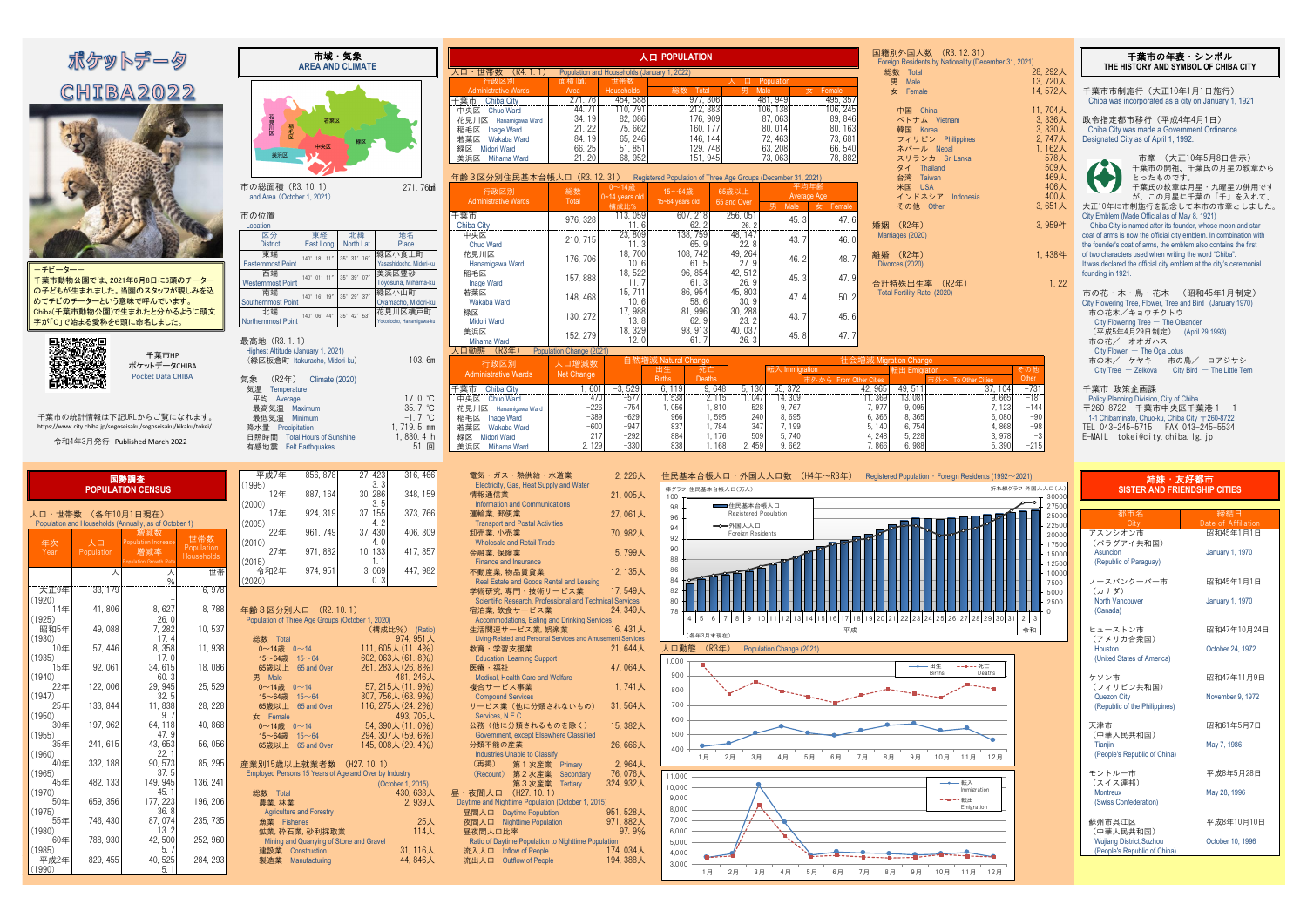| 市域・気象<br><b>AREA AND CLIMATE</b>                                                                 |                                           |                          |                                             | 人口 POPULATION                                                 |                 |                        |                        | 国籍別外国人数 (R3.12.31)<br>Foreign Residents by Nationality (December 31, 2021) |                    | 千葉市の年表・シンボル<br>THE HISTORY AND SYMBOL OF CHIBA CITY               |
|--------------------------------------------------------------------------------------------------|-------------------------------------------|--------------------------|---------------------------------------------|---------------------------------------------------------------|-----------------|------------------------|------------------------|----------------------------------------------------------------------------|--------------------|-------------------------------------------------------------------|
|                                                                                                  | 人口・世帯数 (R4.1.1)                           |                          | Population and Households (January 1, 2022) |                                                               |                 |                        |                        | 総数 Total                                                                   | 28, 292人           |                                                                   |
|                                                                                                  | 行政区別<br><b>Administrative Wards</b>       | 面積(km^)<br>Area          | 世帯数<br>Households                           | 総数<br>Total                                                   |                 | 人 口 Population<br>Male | 女 Female               | 男 Male<br>女<br>Female                                                      | 13,720人<br>14,572人 | 千葉市市制施行 (大正10年1月1日施行)                                             |
|                                                                                                  | 千葉市<br><b>Chiba City</b><br>中央区 Chuo Ward | 271.76<br>44.71          | 454, 588<br>110, 791                        | 977.306<br>212, 383                                           |                 | 481.949<br>106.1381    | 495.357<br>106, 245    | 中国 China                                                                   | 11,704人            | Chiba was incorporated as a city on January 1, 1921               |
| 若葉区                                                                                              | 花見川区<br>Hanamigawa Ward                   | 34.19                    | 82.086                                      | 176, 909                                                      |                 | 87.063                 | 89.846                 | ベトナム Vietnam                                                               | 3,336人             | 政令指定都市移行 (平成4年4月1日)                                               |
| 見川区                                                                                              | <b>Inage Ward</b><br>稲毛区                  | 21.22                    | 75.662                                      | 160.177                                                       |                 | 80.014                 | 80, 163                | 韓国 Korea                                                                   | 3,330人             | Chiba City was made a Government Ordinance                        |
|                                                                                                  | 若葉区 Wakaba Ward                           | 84.19                    | 65.246                                      | 146.144                                                       |                 | 72.463                 | 73,681                 | フィリピン Philippines                                                          | 2.747人             | Designated City as of April 1, 1992.                              |
|                                                                                                  | 緑区 Midori Ward                            | 66.25                    | 51, 851                                     | 129, 748                                                      |                 | 63, 208                | 66, 540                | ネパール Nepal                                                                 | 1.162人             |                                                                   |
| 美浜区                                                                                              | 美浜区 Mihama Ward                           | 21.20                    | 68, 952                                     | 151.945                                                       |                 | 73.063                 | 78, 882                | スリランカ Sri Lanka                                                            | 578人               | 市章 (大正10年5月8日告示)                                                  |
|                                                                                                  |                                           |                          |                                             |                                                               |                 |                        |                        | タイ Thailand                                                                | 509人               | 千葉市の開祖、千葉氏の月星の紋章から                                                |
|                                                                                                  | 年齡3区分別住民基本台帳人口 (R3.12.31)                 |                          |                                             | Registered Population of Three Age Groups (December 31, 2021) |                 |                        |                        | 台湾 Taiwan                                                                  | 469人               | とったものです。                                                          |
| 271.76km<br>市の総面積 (R3.10.1)                                                                      |                                           |                          | $0 \sim 14$ 歳                               |                                                               |                 |                        | 平均年齢                   | 米国 USA                                                                     | 406人               | 千葉氏の紋章は月星・九曜星の併用です                                                |
| Land Area (October 1, 2021)                                                                      | 行政区別                                      | 総数                       | $0 - 14$ years old                          | 15~64歳                                                        | 65歳以上           |                        | Average Age            | インドネシア Indonesia                                                           | 400人               | が、この月星に千葉の「千」を入れて、                                                |
|                                                                                                  | <b>Administrative Wards</b>               | Total                    | 構成比%                                        | 15~64 years old                                               | 65 and Over     | Male                   | $\pm$ Female           | その他 Other                                                                  | 3,651人             | 大正10年に市制施行を記念して本市の市章としました                                         |
| 市の位置                                                                                             | 千葉市                                       |                          | 113, 059                                    | 607.218                                                       | 256, 051        |                        |                        |                                                                            |                    | City Emblem (Made Official as of May 8, 1921)                     |
| Location                                                                                         | <b>Chiba City</b>                         | 976, 328                 | 11.6                                        | 62.2                                                          | 26.2            | 45.3                   | 47.6                   | 婚姻 (R2年)                                                                   | 3,959件             | Chiba City is named after its founder, whose moon and star        |
| 区分<br>東経<br>北緯<br>地名                                                                             | 中央区                                       |                          | 23, 809                                     | 138.759                                                       | 48.147          |                        |                        | Marriages (2020)                                                           |                    | coat of arms is now the official city emblem. In combination with |
| North Lat<br><b>District</b><br>East Long<br>Place                                               | Chuo Ward                                 | 210, 715                 | 11.3                                        | 65.9                                                          | 22.8            | 43.7                   | 46.0                   |                                                                            |                    | the founder's coat of arms, the emblem also contains the first    |
| 東端<br>緑区小食土町                                                                                     | 花見川区                                      |                          | 18,700                                      | 108.742                                                       | 49, 264         |                        |                        | 離婚 (R2年)                                                                   | 1.438件             | of two characters used when writing the word "Chiba"              |
| $35^{\circ}$ 31' $16''$<br>140° 18' 11"<br><b>Easternmost Point</b><br>Yasashidocho, Midori-k    | Hanamigawa Ward                           | 176.706                  | 10.6                                        | 61.5                                                          | 27.9            | 46.2                   | 48.7                   | Divorces (2020)                                                            |                    | It was declared the official city emblem at the city's ceremonial |
| 美浜区豊砂<br>西端                                                                                      | 稲毛区                                       |                          | 18, 522                                     | 96, 854                                                       | 42.512          |                        |                        |                                                                            |                    | founding in 1921.                                                 |
| $35^{\circ}$ 39' 07'<br>$140^{\circ}$ 01' 11"<br><b>Westernmost Point</b><br>Toyosuna, Mihama-ku | <b>Inage Ward</b>                         | 157, 888                 | 11.7                                        | 61.3                                                          | 26.9            | 45.3                   | 47.9                   | 合計特殊出生率 (R2年)                                                              | 1.22               |                                                                   |
| 南端<br>緑区小山町                                                                                      | 若葉区                                       |                          | 15, 711                                     | 86.954                                                        | 45, 803         |                        |                        | Total Fertility Rate (2020)                                                |                    | 市の花・木・鳥・花木 (昭和45年1月制定)                                            |
| 140° 16' 19" 35° 29' 37"<br>Southernmost Point<br>Ovamacho, Midori-ku                            | Wakaba Ward                               | 148.468                  | 10.6                                        | 58.6                                                          | 30.9            | 47.4                   | 50.2                   |                                                                            |                    | City Flowering Tree, Flower, Tree and Bird (January 1970)         |
| 花見川区横戸町<br>北端                                                                                    | 緑区                                        |                          | 17,988                                      | 81.996                                                        | 30, 288         |                        |                        |                                                                            |                    | 市の花木/キョウチクトウ                                                      |
| 140° 06' 44" 35° 42' 53"<br>Northernmost Point<br>Yokodocho, Hanamigawa-ku                       | <b>Midori Ward</b>                        | 130.272                  | 13.8                                        | 62.9                                                          | 23.2            | 43.7                   | 45.6                   |                                                                            |                    | City Flowering Tree $-$ The Oleander                              |
|                                                                                                  | 美浜区                                       |                          | 18, 329                                     | 93.913                                                        | 40, 037         |                        |                        |                                                                            |                    | (平成5年4月29日制定)<br>(April 29,1993)                                  |
| 最高地 (R3.1.1)                                                                                     | Mihama Ward                               | 152, 279                 | 12.0                                        | 61.7                                                          | 26.3            | 45.8                   | 47.7                   |                                                                            |                    | 市の花/ オオガハス                                                        |
| Highest Altitude (January 1, 2021)                                                               | (R3#)<br>人口動態                             | Population Change (2021) |                                             |                                                               |                 |                        |                        |                                                                            |                    | $City$ Flower $-$ The Oga Lotus                                   |
| 103.6m<br>(緑区板倉町 Itakuracho, Midori-ku)                                                          |                                           |                          |                                             | 自然増減 Natural Change                                           |                 |                        |                        | 社会増減 Migration Change                                                      |                    | 市の木/ ケヤキ<br>市の鳥/ コアジサシ                                            |
|                                                                                                  | 行政区別                                      | 人口増減数                    |                                             | 出生<br>死亡                                                      |                 | 転入 Immigration         |                        | 転出 Emigration                                                              | その他                | $City$ Bird $-$ The Little Tern<br>$City$ Tree $-$ Zelkova        |
| (R2年)<br><b>Climate (2020)</b><br>気象                                                             | <b>Administrative Wards</b>               | Net Change               |                                             | <b>Births</b><br><b>Deaths</b>                                |                 |                        | 市外から From Other Cities | 市外へ To Other Cities                                                        | Other              |                                                                   |
| 気温<br>Temperature                                                                                | 千葉市 Chiba City                            | . 601                    | $-3.529$                                    | 9.648<br>6.119                                                | 5.130           | 55.372                 |                        | 42.965<br>49.511                                                           | $-731$<br>37.104   | 千葉市 政策企画課                                                         |
| 17.0 °C<br>平均 Average                                                                            | 中央区 Chuo Ward                             | 470                      | $-577$                                      | 1,538<br>2, 115                                               | 1.047           | 14, 309                |                        | 13,081<br>11, 369                                                          | $-181$<br>9.665    | Policy Planning Division, City of Chiba                           |
| 35.7 °C<br>最高気温<br>Maximum                                                                       | 花見川区 Hanamigawa Ward                      | $-226$                   | $-754$                                      | 1,056<br>1,810                                                | 528             | 9.767                  |                        | 9.095<br>7, 977                                                            | $-144$<br>7, 123   | 〒260-8722 千葉市中央区千葉港1-1                                            |
| $-1.7$ °C<br>Minimum<br>最低気温                                                                     | 稲毛区 Inage Ward                            | $-389$                   | $-629$                                      | 966<br>1,595                                                  | 240             | 8.695                  |                        | 6.365<br>8.365                                                             | 6.080<br>$-90$     | 1-1 Chibaminato, Chuo-ku, Chiba City 〒260-8722                    |
| 1.719.5 mm<br>降水量 Precipitation                                                                  | 若葉区 Wakaba Ward                           | $-600$                   | $-947$                                      | 837<br>1.784                                                  | 347             | 7.199                  |                        | 6.754<br>5.140                                                             | 4.868<br>$-98$     |                                                                   |
| 1,880.4 h<br><b>Total Hours of Sunshine</b><br>日照時間                                              | 緑区 Midori Ward                            | 217                      | $-292$                                      | 884<br>1.176                                                  | 509             | 5.740                  |                        | 4.248<br>5, 228                                                            | 3.978              | E-MAIL tokei@city.chiba.lg.jp                                     |
| 51 回<br>有感地震 Felt Earthquakes                                                                    | 美浜区 Mihama Ward                           | 2, 129                   | $-330$                                      | 838                                                           | 2,459<br>1, 168 | 9,662                  |                        | 7,866<br>6,988                                                             | 5,390<br>$-215$    |                                                                   |

| 工み仕                                 | 000, 070                                 | 27. TLU                                               | 0.10, 700                          | 电刈 カハ 燃送帽 小坦未                                               | L, LLUX   | 上氏杢平日  帐八口   丌圖八八口数   \  ヰヰ                   |
|-------------------------------------|------------------------------------------|-------------------------------------------------------|------------------------------------|-------------------------------------------------------------|-----------|-----------------------------------------------|
| (1995)<br>12年                       | 887, 164                                 | 3.3<br>30, 286                                        | 348, 159                           | Electricity, Gas, Heat Supply and Water<br>情報通信業            | 21,005人   | 棒グラフ 住民基本台帳人口(万人)                             |
| (2000)                              |                                          | 3.5                                                   |                                    | <b>Information and Communications</b>                       |           | 100<br>■■住民基本台帳人口                             |
| 17年                                 | 924, 319                                 | 37, 155                                               | 373, 766                           | 運輸業. 郵便業                                                    | 27,061人   | 98<br>Registered Population                   |
| (2005)                              |                                          | 4.2                                                   |                                    | <b>Transport and Postal Activities</b>                      |           | 96<br>→→外国人人口                                 |
| 22年                                 | 961.749                                  | 37.430                                                | 406.309                            | 卸壳業, 小売業                                                    | 70,982人   | 94<br>Foreign Residents                       |
| (2010)                              |                                          | 4.0                                                   |                                    | <b>Wholesale and Retail Trade</b>                           |           | 92                                            |
| 27年                                 | 971.882                                  | 10, 133                                               | 417, 857                           | 金融業, 保険業                                                    | 15,799人   | 90                                            |
| (2015)                              |                                          | 1.1                                                   |                                    | <b>Finance and Insurance</b>                                |           | 88                                            |
| 令和2年                                | 974, 951                                 | 3,069                                                 | 447, 982                           | 不動産業, 物品賃貸業                                                 | 12,135人   | 86                                            |
| (2020)                              |                                          | 0, 3                                                  |                                    | Real Estate and Goods Rental and Leasing                    |           | 84                                            |
|                                     |                                          |                                                       |                                    | 学術研究. 専門・技術サービス業                                            | 17,549人   | 82                                            |
|                                     |                                          |                                                       |                                    | Scientific Research, Professional and Technical Services    |           | 80                                            |
| 年齡3区分別人口 (R2.10.1)                  |                                          |                                                       |                                    | 宿泊業. 飲食サービス業                                                | 24, 349人  | 78                                            |
|                                     |                                          | Population of Three Age Groups (October 1, 2020)      |                                    | Accommodations, Eating and Drinking Services                |           | 5 6 7<br>8 <sup>1</sup><br>9 10 11 12 13 14 1 |
|                                     |                                          |                                                       | (構成比%) (Ratio)                     | 生活関連サービス業, 娯楽業                                              | 16.431人   | (各年3月末現在)                                     |
| 総数 Total                            |                                          |                                                       | 974.951人                           | Living-Related and Personal Services and Amusement Services |           |                                               |
| $0 \sim 14$ 歳 $0 \sim 14$           |                                          |                                                       | 111.605人 (11.4%)                   | 教育·学習支援業                                                    | 21.644人   | 人口動態<br>(R3#)<br>Population Change (2021)     |
| $15~64$ 歳 $15~64$                   |                                          |                                                       | 602, 063人 (61.8%)                  | <b>Education, Learning Support</b>                          |           | 1.000                                         |
|                                     | 65歳以上 65 and Over                        |                                                       | 261, 283人 (26.8%)                  | 医療・福祉                                                       | 47,064人   | 900                                           |
| 男 Male<br>$0 \sim 14$ 歳 $0 \sim 14$ |                                          |                                                       | 481.246人<br>$57.215\lambda(11.9%)$ | Medical, Health Care and Welfare<br>複合サービス事業                | 1,741人    |                                               |
| $15~64$ 歳 $15~64$                   |                                          |                                                       | 307, 756人 (63, 9%)                 | <b>Compound Services</b>                                    |           | 800                                           |
|                                     | 65歳以上 65 and Over                        |                                                       | 116, 275人 (24. 2%)                 | サービス業 (他に分類されないもの)                                          | 31,564人   | 700                                           |
| $\overline{\mathbf{x}}$ Female      |                                          |                                                       | 493.705人                           | Services, N.E.C                                             |           |                                               |
| $0 \sim 14$ 歳 $0 \sim 14$           |                                          |                                                       | 54.390人 $(11.0\%)$                 | 公務(他に分類されるものを除く)                                            | 15,382人   | 600                                           |
| $15 \sim 64$ 歳 15 $\sim$ 64         |                                          |                                                       | 294. 307人 (59. 6%)                 | Government, except Elsewhere Classified                     |           | 500                                           |
|                                     | 65歳以上 65 and Over                        |                                                       | 145, 008人 (29. 4%)                 | 分類不能の産業                                                     | 26,666人   |                                               |
|                                     |                                          |                                                       |                                    | <b>Industries Unable to Classify</b>                        |           | 400<br>2月<br>3月<br>5月<br>1月<br>4月             |
| 産業別15歳以上就業者数 (H27.10.1)             |                                          |                                                       |                                    | (再掲)<br>第1次産業 Primary                                       | 2,964人    |                                               |
|                                     |                                          | Employed Persons 15 Years of Age and Over by Industry |                                    | 第2次産業 Secondary<br>(Recount)                                | 76,076人   | 11,000                                        |
|                                     |                                          |                                                       | (October 1, 2015)                  | 第3次産業 Tertiary                                              | 324, 932人 | 10.000                                        |
| 総数 Total                            |                                          |                                                       | 430.638人                           | 昼·夜間人口 (H27.10.1)                                           |           | 9,000                                         |
| 農業. 林業                              |                                          |                                                       | 2,939人                             | Daytime and Nighttime Population (October 1, 2015)          |           |                                               |
|                                     | <b>Agriculture and Forestry</b>          |                                                       |                                    | 昼間人口 Daytime Population                                     | 951.528人  | 8,000                                         |
| 漁業 Fisheries                        |                                          |                                                       | 25人                                | 夜間人口 Nighttime Population                                   | 971,882人  | 7,000                                         |
|                                     | 鉱業, 砕石業, 砂利採取業                           |                                                       | 114人                               | 昼夜間人口比率                                                     | 97.9%     | 6,000                                         |
|                                     | Mining and Quarrying of Stone and Gravel |                                                       |                                    | Ratio of Daytime Population to Nighttime Population         |           | 5,000                                         |
|                                     | 建設業 Construction                         |                                                       | 31.116人                            | 流入人口 Inflow of People                                       | 174, 034人 | 4,000                                         |
|                                     | 製造業 Manufacturing                        |                                                       | 44,846人                            | 流出人口 Outflow of People                                      | 194, 388人 | 3,000                                         |

| 別外国人数 (R3.12.31)<br>eign Residents by Nationality (December 31, 2021)<br>28, 292人<br>一数<br>Total                                                                                                                        | 千葉市の年表・シンボル<br>THE HISTORY AND SYMBOL OF CHIBA CITY                                                                                                                                                                                                                                                              |
|-------------------------------------------------------------------------------------------------------------------------------------------------------------------------------------------------------------------------|------------------------------------------------------------------------------------------------------------------------------------------------------------------------------------------------------------------------------------------------------------------------------------------------------------------|
| 13,720人<br>男<br>Male<br>女<br>14,572人<br>Female                                                                                                                                                                          | 千葉市市制施行(大正10年1月1日施行)<br>Chiba was incorporated as a city on January 1, 1921                                                                                                                                                                                                                                      |
| 11,704人<br>中国 China<br>3,336人<br>ベトナム Vietnam<br>3,330人<br>韓国 Korea<br>2,747人<br>フィリピン Philippines<br>ネパール Nepal<br>1,162人                                                                                              | 政令指定都市移行(平成4年4月1日)<br>Chiba City was made a Government Ordinance<br>Designated City as of April 1, 1992.                                                                                                                                                                                                         |
| 578人<br>スリランカ Sri Lanka<br>509人<br>タイ Thailand<br>469人<br>台湾<br>Taiwan<br>406人<br>米国 USA<br>400人<br>インドネシア<br>Indonesia<br>3,651人<br>その他 Other<br>(R2年)<br>3.959件<br>iages (2020)                                       | 市章 (大正10年5月8日告示)<br>千葉市の開祖、千葉氏の月星の紋章から<br>とったものです。<br>千葉氏の紋章は月星・九曜星の併用です<br>が、この月星に千葉の「千」を入れて、<br>大正10年に市制施行を記念して本市の市章としました。<br>City Emblem (Made Official as of May 8, 1921)<br>Chiba City is named after its founder, whose moon and star<br>coat of arms is now the official city emblem. In combination with |
| $(R2 \pm 1)$<br>1,438件<br>rces (2020)                                                                                                                                                                                   | the founder's coat of arms, the emblem also contains the first<br>of two characters used when writing the word "Chiba".<br>It was declared the official city emblem at the city's ceremonial<br>founding in 1921.                                                                                                |
| 1.22<br>特殊出生率 (R2年)<br>I Fertility Rate (2020)<br>ation Change<br>その他<br>転出 Emigration<br>Other                                                                                                                         | 市の花・木・鳥・花木 (昭和45年1月制定)<br>City Flowering Tree, Flower, Tree and Bird (January 1970)<br>市の花木/キョウチクトウ<br>City Flowering Tree $-$ The Oleander<br>(平成5年4月29日制定)<br>(April 29, 1993)<br>市の花/ オオガハス<br>City Flower $-$ The Oga Lotus<br>市の木/ ケヤキ  市の鳥/ コアジサシ<br>City Tree $-$ Zelkova City Bird $-$ The Little Tern   |
| 市外へ To Other Cities<br>49.511<br>37, 104<br>-731<br>13,081<br>9,665<br>$-181$<br>9,095<br>$-144$<br>7, 123<br>8,365<br>6,080<br>$-90$<br>4,868<br>6, 754<br>-98<br>5, 228<br>3,978<br>$-3$<br>$-215$<br>6,988<br>5, 390 | 千葉市 政策企画課<br>Policy Planning Division, City of Chiba<br>〒260-8722 千葉市中央区千葉港1-1<br>1-1 Chibaminato, Chuo-ku, Chiba City 〒260-8722<br>TEL 043-245-5715 FAX 043-245-5534<br>E-MAIL tokei@city.chiba.lg.jp                                                                                                           |
|                                                                                                                                                                                                                         |                                                                                                                                                                                                                                                                                                                  |
|                                                                                                                                                                                                                         |                                                                                                                                                                                                                                                                                                                  |
| 折れ線グラフ 外国人人口(人)<br>30000                                                                                                                                                                                                | 姉妹・友好都市<br><b>SISTER AND FRIENDSHIP CITIES</b>                                                                                                                                                                                                                                                                   |
| 27500<br>25000                                                                                                                                                                                                          | 都市名<br>締結日                                                                                                                                                                                                                                                                                                       |
| 22500<br>20000<br>17500<br>15000<br>12500                                                                                                                                                                               | Date of Affiliation<br>City<br>昭和45年1月1日<br>アスンシオン市<br>(パラグアイ共和国)<br>Asuncion<br><b>January 1, 1970</b><br>(Republic of Paraguay)                                                                                                                                                                                |
| 10000<br>7500<br>5000<br>2500<br>0                                                                                                                                                                                      | ノースバンクーバー市<br>昭和45年1月1日<br>(カナダ)<br>North Vancouver<br>January 1, 1970<br>(Canada)                                                                                                                                                                                                                               |
| $2 \mid 3$<br>令和                                                                                                                                                                                                        | ヒューストン市<br>昭和47年10月24日                                                                                                                                                                                                                                                                                           |
|                                                                                                                                                                                                                         | (アメリカ合衆国)<br>Houston<br>October 24, 1972<br>(United States of America)                                                                                                                                                                                                                                           |
| 出生<br>----死亡<br><b>Births</b><br>Deaths                                                                                                                                                                                 | 昭和47年11月9日<br>ケソン市                                                                                                                                                                                                                                                                                               |
| ed Population · Foreign Residents (1992 $\sim$ 2021)<br>21 22 23 24 25 26 27 28 29 30 31                                                                                                                                | (フィリピン共和国)<br><b>Quezon City</b><br>November 9, 1972<br>(Republic of the Philippines)                                                                                                                                                                                                                            |
|                                                                                                                                                                                                                         | 天津市<br>昭和61年5月7日                                                                                                                                                                                                                                                                                                 |
| 9月<br>10月<br>11月<br>12月                                                                                                                                                                                                 | (中華人民共和国)<br>Tianjin<br>May 7, 1986<br>(People's Republic of China)                                                                                                                                                                                                                                              |
| 転入                                                                                                                                                                                                                      | モントルー市<br>平成8年5月28日<br>(スイス連邦)                                                                                                                                                                                                                                                                                   |
| Immigration<br>転出<br>Emigration                                                                                                                                                                                         | <b>Montreux</b><br>May 28, 1996<br>(Swiss Confederation)                                                                                                                                                                                                                                                         |
|                                                                                                                                                                                                                         | 蘇州市呉江区<br>平成8年10月10日<br>(中華人民共和国)                                                                                                                                                                                                                                                                                |
| Ę                                                                                                                                                                                                                       | <b>Wujiang District, Suzhou</b><br>October 10, 1996<br>(People's Republic of China)                                                                                                                                                                                                                              |

### 電気・ガス・熱供給・水道業 2,226人 住民基本台帳人口・外国人人口数 (H4年~R3年) Registered Population・Foreign Residents (1 卸売業,小売業 70,982人 アスンシオン市 昭和45年1月1日 (2010) Wholesale and Retail Trade (パラグアイ共和国) 金融業,保険業 15,799人 Asuncion January 1, 1970 (2015) | | 1.1| Finance and Insurance (Republic of Paraguay) and the set of Paraguay) and the set of Paraguay) % (2020) Real Estate and Goods Rental and Leasing ノースバンクーバー市 昭和45年1月1日 学術研究,専門・技術サービス業 17,549人 (カナダ) (1920) Scientific Research, Professional and Technical Services North Vancouver January 1, 1970 (構成比%) (Ratio) 生活関連サービス業,娯楽業 16,431人 ヒューストン市 昭和47年10月24日 (1930) 総数 Total 974,951人 Living-Related and Personal Services and Amusement Services (アメリカ合衆国) (1935) 15~64歳 15~64 602,063人(61.8%) Education, Learning Support (United States of America) (1940) 481, 246人 Medical, Health Care and Welfare ファイトワン アンディスク Medical Health Care and Welfare ファイトワン アンディスク Medical Health Care and Welfare アンディスク アンディスク アンディスク アンディスク Medical, Health Ca 0~14歳 0~14 57,215人(11.9%) 複合サービス事業 1,741人 (フィリピン共和国) **SISTER AND FRIENDSHIP CITIES** 3.3 4. 2 City Transport and Postal Activities and the control of the control of the control of the control of the control of the control of the control of the control of the control of the control of the control of the contro 78 80 82 84 86 88 90 92 94 96 98 100 4 | 5 | 6 | 7 | 8 | 9 | 10| 1 1 | 12| 13| 14| 15| 16| 17| 18| 19| 20| 21| 22| 23| 24| 25| 26| 27| 28| 29| 平成 しょうしゃ しゅうしゃ しゅうしょく しゅうしゅう しゅうしゅう しゅうしゅう 住民基本台帳人口 Registered Population ━━━━外国人人口 Foreign Reside 棒グラフ 住民基本台帳人口(万人) (各年3月末現在) 800 900 1,000 一十出生 Births

| 国勢調査<br><b>ATION CENSUS</b>               |                          | 平成7年<br>(1995)<br>12年  | 856, 878<br>887.164 | 27.423<br>30.286      | 316.466<br>348.159 | 電気・ガス・熱供給・水道業<br>Electricity, Gas, Heat Supply and Water<br>情報通信業                           | 2,226人<br>21,005人 |
|-------------------------------------------|--------------------------|------------------------|---------------------|-----------------------|--------------------|---------------------------------------------------------------------------------------------|-------------------|
| 10月1日現在)<br>s (Annually, as of October 1) |                          | (2000)<br>7年<br>(2005) | 924.319             | 3.51<br>37.155<br>4.2 | 373.766            | <b>Information and Communications</b><br>運輸業, 郵便業<br><b>Transport and Postal Activities</b> | 27,061人           |
| 増減数<br>Population Increase                | 世帯数                      | 22年<br>(2010)          | 961.749             | 37.430<br>4.0         | 406. 309           | 卸売業, 小売業<br><b>Wholesale and Retail Trade</b>                                               | 70,982人           |
| 増減率<br>Population Growth Rate             | Population<br>Households | 27年<br>(2015)          | 971.882             | 10.133                | 417.857            | 金融業, 保険業<br><b>Finance and Insurance</b>                                                    | 15,799人           |
| %                                         | 世帯                       | 令和2年<br>(2020)         | 974.951             | 3.069<br>0.31         | 447.982            | 不動産業, 物品賃貸業<br>Real Estate and Goods Rental and Leasing                                     | 12,135人           |

# 年齢3区分別人口 (R2.10.1)

| Population of Three Age Groups (October 1, 2020)          |                  |
|-----------------------------------------------------------|------------------|
|                                                           | (構成比%) (F        |
| 総数 Total                                                  | 974.95           |
| $0 \sim 14$ 歳 $0 \sim 14$                                 | 111, 605人 (11.4) |
| $15 \sim 64$ 歳 15 $\sim$ 64                               | 602, 063人 (61.8  |
| 65歳以上 65 and Over                                         | 261, 283人 (26. 8 |
| 男 Male                                                    | 481, 24          |
| $0 \sim 14$ 歳 $0 \sim 14$                                 | 57, 215人 (11.9   |
| $15 \sim 64$ 歳 15 $\sim$ 64                               | 307.756人 (63.9   |
| 65歳以上 65 and Over                                         | 116, 275人 (24. 2 |
| $\overline{\mathbf{\mathsf{\mathsf{\mathsf{p}}}}}$ Female | 493.70           |
| $0 \sim 14$ 歳 $0 \sim 14$                                 | 54, 390人 (11.0   |
| $15 \sim 64$ 歳 15 $\sim$ 64                               | 294, 307人 (59.6  |
| 65歳以上 65 and Over                                         | 145, 008人 (29.4  |
|                                                           |                  |
| ᅔᆇᇜᇜᄕᆇᇅᇅᆫᆦᆇᆇᆇ <del>ᄴ</del> ᅠ但ᅁᅠᆟᅆᆟ                        |                  |

| 総数 Total                                 | 430, 638 $\overline{\smash{\big)}\smash{\big)}\ }$ |
|------------------------------------------|----------------------------------------------------|
| 農業, 林業                                   | 2.939J                                             |
| <b>Agriculture and Forestry</b>          |                                                    |
| 漁業 Fisheries                             | 25 <sub>J</sub>                                    |
| 鉱業, 砕石業, 砂利採取業                           | 114 <sub>7</sub>                                   |
| Mining and Quarrying of Stone and Gravel |                                                    |
| 建設業 Construction                         | 31, $116$                                          |
| 製造業 Manufacturing                        | 44.846                                             |
|                                          |                                                    |



|                          |                    | 国勢調査                                                                 |                                 | 平成7年<br>(1995)                 | 856, 878                                                                         | 27.423<br>3.3        | 316, 466                                            | 電気・ガス・熱供給・水道業<br>Electricity, Gas, Heat Supply and Water                                                                      | 2,226人               |
|--------------------------|--------------------|----------------------------------------------------------------------|---------------------------------|--------------------------------|----------------------------------------------------------------------------------|----------------------|-----------------------------------------------------|-------------------------------------------------------------------------------------------------------------------------------|----------------------|
|                          |                    | <b>POPULATION CENSUS</b>                                             |                                 | 12年                            | 887.164                                                                          | 30, 286              | 348.159                                             | 情報通信業                                                                                                                         | 21,005人              |
|                          | 人口・世帯数 (各年10月1日現在) |                                                                      |                                 | (2000)<br>17年                  | 924, 319                                                                         | 3.5<br>37, 155       | 373, 766                                            | <b>Information and Communications</b><br>運輸業. 郵便業                                                                             | 27,061人              |
|                          |                    | Population and Households (Annually, as of October 1)<br><u>·増減数</u> | 世帯数                             | (2005)<br>22年                  | 961, 749                                                                         | 4.2<br>37.430        | 406, 309                                            | <b>Transport and Postal Activities</b><br>卸売業, 小売業                                                                            | 70,982人              |
| 年次<br>Year               | 人口<br>Population   | <b>Population Increase</b><br>増減率                                    | Population<br><b>Households</b> | (2010)<br>27年                  | 971.882                                                                          | 4.0<br>10.133        | 417, 857                                            | <b>Wholesale and Retail Trade</b><br>金融業, 保険業                                                                                 | 15,799人              |
|                          | 人                  | Population Growth Rate<br>人<br>$\frac{0}{2}$                         | 世帯                              | (2015)<br>令和2年<br>(2020)       | 974, 951                                                                         | 1.1<br>3,069<br>0, 3 | 447, 982                                            | <b>Finance and Insurance</b><br>不動産業, 物品賃貸業<br>Real Estate and Goods Rental and Leasing                                       | 12,135人              |
| 大正9年<br>(1920)           | 33, 179            |                                                                      | 6,978                           |                                |                                                                                  |                      |                                                     | 学術研究, 専門・技術サービス業                                                                                                              | 17,549人              |
| 14年<br>(1925)            | 41,806             | 8,627<br>26.0                                                        | 8,788                           |                                | 年齢3区分別人口 (R2.10.1)<br>Population of Three Age Groups (October 1, 2020)           |                      |                                                     | Scientific Research, Professional and Technical Services<br>宿泊業. 飲食サービス業                                                      | 24,349人              |
| 昭和5年<br>(1930)           | 49,088             | 7, 282<br>17.4                                                       | 10, 537                         | 総数 Total                       |                                                                                  |                      | (構成比%) (Ratio)<br>974.951人                          | Accommodations, Eating and Drinking Services<br>生活関連サービス業. 娯楽業<br>Living-Related and Personal Services and Amusement Services | 16,431人              |
| 10年<br>(1935)            | 57.446             | 8.358<br>17.0                                                        | 11, 938                         | $0 \sim 14$ 歳 $0 \sim 14$      | $15~64$ 歳 $15~64$                                                                |                      | $111.605\lambda(11.4%)$<br>$602,063\lambda(61.8\%)$ | 教育·学習支援業<br><b>Education, Learning Support</b>                                                                                | 21,644人              |
| 15年<br>(1940)            | 92,061             | 34, 615<br>60.3                                                      | 18,086                          | 男 Male                         | 65歳以上 65 and Over                                                                |                      | 261, 283人 (26. 8%)<br>481.246人                      | 医療・福祉<br>Medical, Health Care and Welfare                                                                                     | 47,064人              |
| 22年<br>(1947)            | 122, 006           | 29.945<br>32.5                                                       | 25, 529                         | $0 \sim 14$ 歳 $0 \sim 14$      | $15~64$ 歳 $15~64$                                                                |                      | $57.215\lambda(11.9%)$<br>307, 756人 (63, 9%)        | 複合サービス事業<br><b>Compound Services</b>                                                                                          | 1,741人               |
| 25年<br>(1950)            | 133, 844           | 11,838<br>9.7                                                        | 28, 228                         | $\overline{\mathbf{x}}$ Female | 65歳以上 65 and Over                                                                |                      | 116, 275人 (24, 2%)<br>493.705人                      | サービス業(他に分類されないもの)<br>Services, N.E.C                                                                                          | 31,564人              |
| 30年<br>(1955)            | 197, 962           | 64, 118<br>47.9                                                      | 40, 868                         | $0 \sim 14$ 歳 $0 \sim 14$      | $15~64$ 歳 $15~64$                                                                |                      | 54. 390人 (11. 0%)<br>294, 307人 (59, 6%)             | 公務(他に分類されるものを除く)<br>Government, except Elsewhere Classified                                                                   | 15,382人              |
| 35年<br>(1960)            | 241.615            | 43, 653<br>22.1                                                      | 56,056                          |                                | 65歳以上 65 and Over                                                                |                      | 145,008人 (29.4%)                                    | 分類不能の産業<br><b>Industries Unable to Classify</b>                                                                               | 26,666人              |
| 40年<br>(1965)            | 332, 188           | 90.573<br>37.5                                                       | 85.295                          |                                | 産業別15歳以上就業者数 (H27.10.1)<br>Employed Persons 15 Years of Age and Over by Industry |                      |                                                     | (再掲)<br>第1次産業 Primary<br>第2次産業 Secondary<br>(Recount)                                                                         | 2,964人<br>76.076人    |
| 45年<br>(1970)            | 482, 133           | 149, 945<br>45.1                                                     | 136, 241                        | 総数 Total                       |                                                                                  |                      | (October 1, 2015)<br>430, 638人                      | 第3次産業<br>Tertiary<br>昼·夜間人口 (H27.10.1)                                                                                        | 324, 932人            |
| 50年<br>(1975)            | 659, 356           | 177.223<br>36.8                                                      | 196, 206                        | 農業. 林業                         | <b>Agriculture and Forestry</b>                                                  |                      | 2,939人                                              | Daytime and Nighttime Population (October 1, 2015)<br>昼間人口 Daytime Population                                                 | 951,528人             |
| 55年<br>(1980)            | 746, 430           | 87, 074<br>13.2                                                      | 235, 735                        | 漁業 Fisheries                   | 鉱業, 砕石業, 砂利採取業                                                                   |                      | 25人<br>114人                                         | 夜間人口 Nighttime Population<br>昼夜間人口比率                                                                                          | 971,882人<br>97.9%    |
| 60年                      | 788, 930           | 42, 500<br>5.7                                                       | 252, 960                        |                                | Mining and Quarrying of Stone and Gravel                                         |                      |                                                     | Ratio of Daytime Population to Nighttime Population                                                                           |                      |
| (1985)<br>平成2年<br>(1990) | 829, 455           | 40, 525<br>5.1                                                       | 284, 293                        |                                | 建設業 Construction<br>製造業 Manufacturing                                            |                      | 31.116人<br>44,846人                                  | 流入人口 Inflow of People<br>流出人口 Outflow of People                                                                               | 174.034人<br>194,388人 |

| 巾の位目                     |                             |             |                          |
|--------------------------|-----------------------------|-------------|--------------------------|
| Location                 |                             |             |                          |
| 区分                       | 東経                          | 北緯          | 地名                       |
| <b>District</b>          | East Long                   | North Lat   | Place                    |
| 東端                       | $18'$ $11''$<br>$140^\circ$ | 35° 31' 16" | 緑区小食土町                   |
| <b>Easternmost Point</b> |                             |             | Yasashidocho, Midori-ku  |
| 西端                       | 140° 01' 11"                | 35° 39' 07" | 美浜区豊砂                    |
| <b>Westernmost Point</b> |                             |             | Toyosuna, Mihama-ku      |
| 南端                       | 140° 16' 19"                | 35° 29' 37" | 緑区小山町                    |
| Southernmost Point       |                             |             | Oyamacho, Midori-ku      |
| 北端                       | $140^\circ$<br>06' 44"      | 35° 42' 53" | 花見川区横戸町                  |
| Northernmost Point       |                             |             | Yokodocho, Hanamigawa-ku |
|                          |                             |             |                          |

## Highest Altitude (January 1, 2021)<br>(緑区板倉町 Itakuracho, Midori-ku) 103. 6m (緑区板倉町 Itakuracho, Midori-ku)



千葉市HP ポケットデータCHIBA Pocket Data CHIBA



千葉市の統計情報は下記URLからご覧になれます。 https://www.city.chiba.jp/sogoseisaku/sogoseisaku/kikaku/tokei/

令和4年3月発行 Published March 2022





## -チビーター-

千葉市動物公園では、2021年6月8日に6頭のチーター の子どもが生まれました。当園のスタッフが親しみを込 めてチビのチーターという意味で呼んでいます。 Chiba(千葉市動物公園)で生まれたと分かるように頭文 字が「C」で始まる愛称を6頭に命名しました。